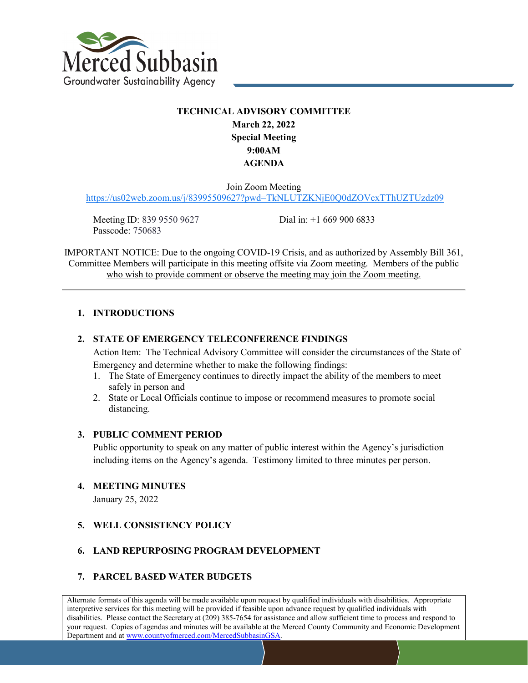

# **TECHNICAL ADVISORY COMMITTEE March 22, 2022 Special Meeting 9:00AM AGENDA**

Join Zoom Meeting

<https://us02web.zoom.us/j/83995509627?pwd=TkNLUTZKNjE0Q0dZOVcxTThUZTUzdz09>

Meeting ID: 839 9550 9627 Passcode: 750683

Dial in: +1 669 900 6833

IMPORTANT NOTICE: Due to the ongoing COVID-19 Crisis, and as authorized by Assembly Bill 361, Committee Members will participate in this meeting offsite via Zoom meeting. Members of the public who wish to provide comment or observe the meeting may join the Zoom meeting.

### **1. INTRODUCTIONS**

### **2. STATE OF EMERGENCY TELECONFERENCE FINDINGS**

Action Item: The Technical Advisory Committee will consider the circumstances of the State of Emergency and determine whether to make the following findings:

- 1. The State of Emergency continues to directly impact the ability of the members to meet safely in person and
- 2. State or Local Officials continue to impose or recommend measures to promote social distancing.

#### **3. PUBLIC COMMENT PERIOD**

Public opportunity to speak on any matter of public interest within the Agency's jurisdiction including items on the Agency's agenda. Testimony limited to three minutes per person.

#### **4. MEETING MINUTES**

January 25, 2022

### **5. WELL CONSISTENCY POLICY**

### **6. LAND REPURPOSING PROGRAM DEVELOPMENT**

#### **7. PARCEL BASED WATER BUDGETS**

Alternate formats of this agenda will be made available upon request by qualified individuals with disabilities. Appropriate interpretive services for this meeting will be provided if feasible upon advance request by qualified individuals with disabilities. Please contact the Secretary at (209) 385-7654 for assistance and allow sufficient time to process and respond to your request. Copies of agendas and minutes will be available at the Merced County Community and Economic Development Department and at www.countyofmerced.com/MercedSubbasinGSA.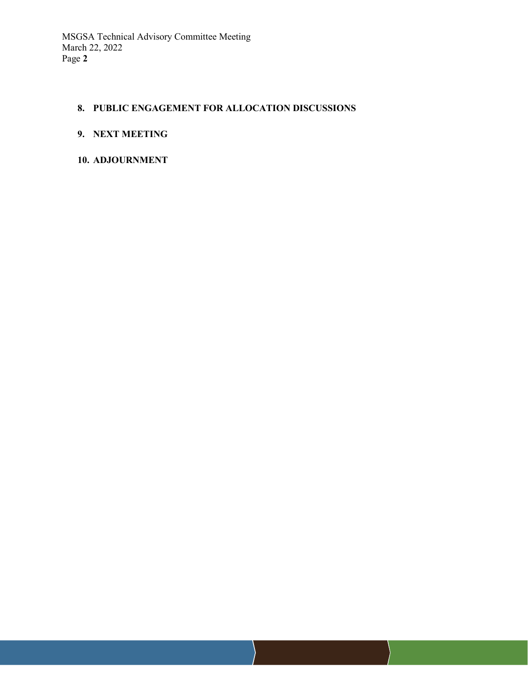### **8. PUBLIC ENGAGEMENT FOR ALLOCATION DISCUSSIONS**

### **9. NEXT MEETING**

### **10. ADJOURNMENT**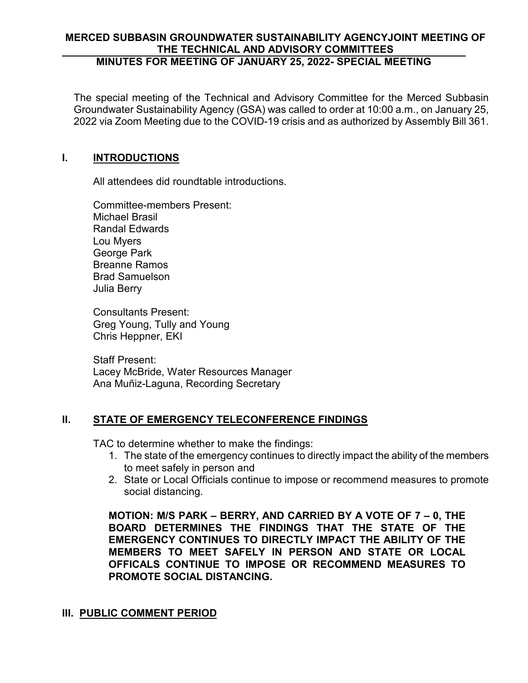### **MERCED SUBBASIN GROUNDWATER SUSTAINABILITY AGENCYJOINT MEETING OF THE TECHNICAL AND ADVISORY COMMITTEES MINUTES FOR MEETING OF JANUARY 25, 2022- SPECIAL MEETING**

The special meeting of the Technical and Advisory Committee for the Merced Subbasin Groundwater Sustainability Agency (GSA) was called to order at 10:00 a.m., on January 25, 2022 via Zoom Meeting due to the COVID-19 crisis and as authorized by Assembly Bill 361.

## **I. INTRODUCTIONS**

All attendees did roundtable introductions.

Committee-members Present: Michael Brasil Randal Edwards Lou Myers George Park Breanne Ramos Brad Samuelson Julia Berry

Consultants Present: Greg Young, Tully and Young Chris Heppner, EKI

Staff Present: Lacey McBride, Water Resources Manager Ana Muñiz-Laguna, Recording Secretary

# **II. STATE OF EMERGENCY TELECONFERENCE FINDINGS**

TAC to determine whether to make the findings:

- 1. The state of the emergency continues to directly impact the ability of the members to meet safely in person and
- 2. State or Local Officials continue to impose or recommend measures to promote social distancing.

**MOTION: M/S PARK – BERRY, AND CARRIED BY A VOTE OF 7 – 0, THE BOARD DETERMINES THE FINDINGS THAT THE STATE OF THE EMERGENCY CONTINUES TO DIRECTLY IMPACT THE ABILITY OF THE MEMBERS TO MEET SAFELY IN PERSON AND STATE OR LOCAL OFFICALS CONTINUE TO IMPOSE OR RECOMMEND MEASURES TO PROMOTE SOCIAL DISTANCING.** 

# **III. PUBLIC COMMENT PERIOD**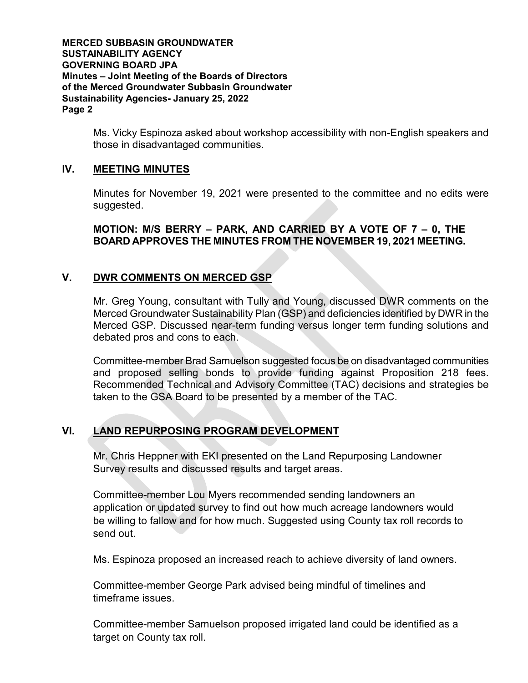**MERCED SUBBASIN GROUNDWATER SUSTAINABILITY AGENCY GOVERNING BOARD JPA Minutes – Joint Meeting of the Boards of Directors of the Merced Groundwater Subbasin Groundwater Sustainability Agencies- January 25, 2022 Page 2**

> Ms. Vicky Espinoza asked about workshop accessibility with non-English speakers and those in disadvantaged communities.

### **IV. MEETING MINUTES**

Minutes for November 19, 2021 were presented to the committee and no edits were suggested.

### **MOTION: M/S BERRY – PARK, AND CARRIED BY A VOTE OF 7 – 0, THE BOARD APPROVES THE MINUTES FROM THE NOVEMBER 19, 2021 MEETING.**

## **V. DWR COMMENTS ON MERCED GSP**

Mr. Greg Young, consultant with Tully and Young, discussed DWR comments on the Merced Groundwater Sustainability Plan (GSP) and deficiencies identified by DWR in the Merced GSP. Discussed near-term funding versus longer term funding solutions and debated pros and cons to each.

Committee-member Brad Samuelson suggested focus be on disadvantaged communities and proposed selling bonds to provide funding against Proposition 218 fees. Recommended Technical and Advisory Committee (TAC) decisions and strategies be taken to the GSA Board to be presented by a member of the TAC.

# **VI. LAND REPURPOSING PROGRAM DEVELOPMENT**

Mr. Chris Heppner with EKI presented on the Land Repurposing Landowner Survey results and discussed results and target areas.

Committee-member Lou Myers recommended sending landowners an application or updated survey to find out how much acreage landowners would be willing to fallow and for how much. Suggested using County tax roll records to send out.

Ms. Espinoza proposed an increased reach to achieve diversity of land owners.

Committee-member George Park advised being mindful of timelines and timeframe issues.

Committee-member Samuelson proposed irrigated land could be identified as a target on County tax roll.